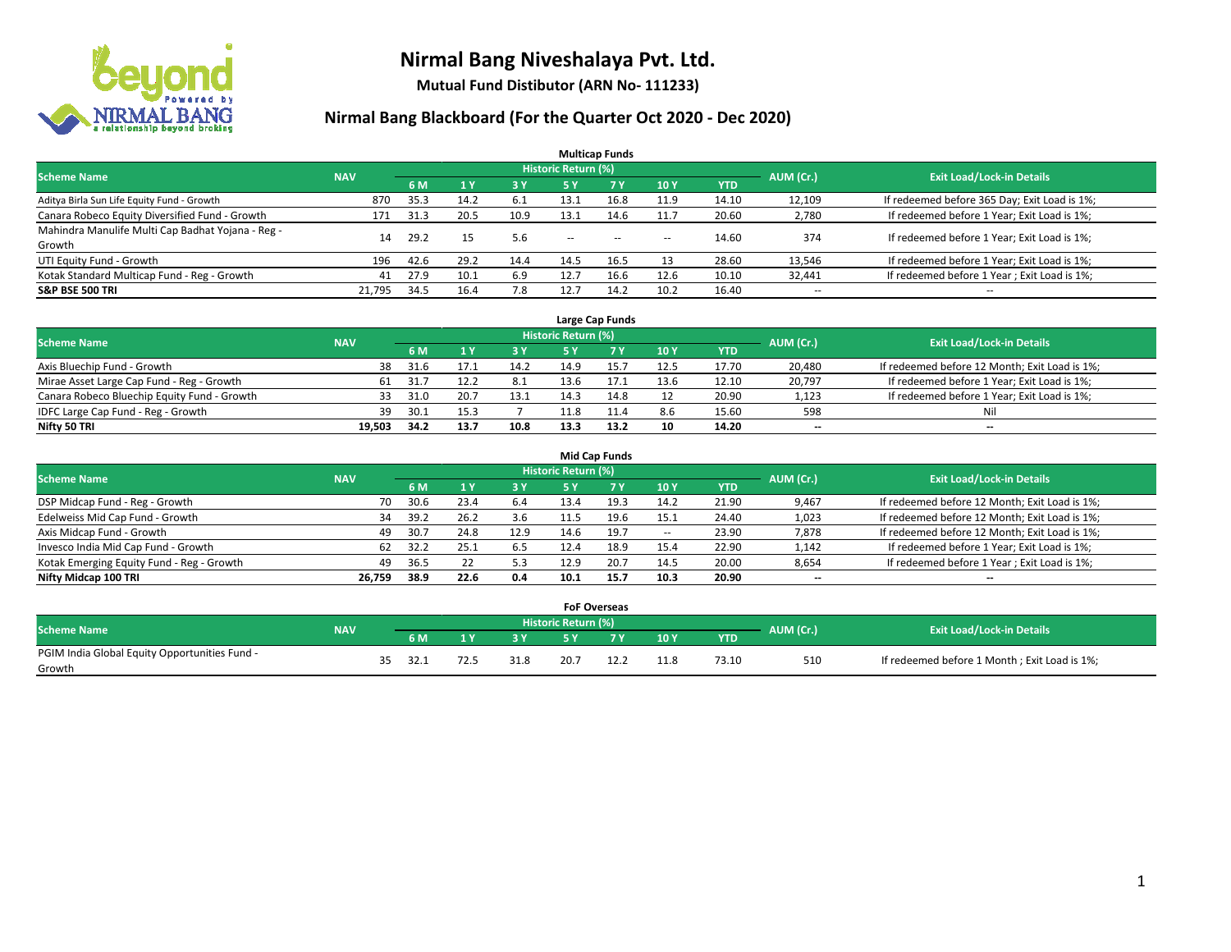

**Mutual Fund Distibutor (ARN No- 111233)**

| <b>Multicap Funds</b>                                                                                    |        |      |                |            |            |           |        |            |                          |                                              |  |  |  |  |
|----------------------------------------------------------------------------------------------------------|--------|------|----------------|------------|------------|-----------|--------|------------|--------------------------|----------------------------------------------|--|--|--|--|
| Historic Return (%)<br><b>Exit Load/Lock-in Details</b><br>AUM (Cr.)<br><b>Scheme Name</b><br><b>NAV</b> |        |      |                |            |            |           |        |            |                          |                                              |  |  |  |  |
|                                                                                                          |        | 6 M  | 1 <sup>v</sup> | <b>3 Y</b> | <b>5 Y</b> | <b>7Y</b> | 10Y    | <b>YTD</b> |                          |                                              |  |  |  |  |
| Aditya Birla Sun Life Equity Fund - Growth                                                               | 870    | 35.3 | 14.2           | 6.1        | 13.1       | 16.8      | 11.9   | 14.10      | 12,109                   | If redeemed before 365 Day; Exit Load is 1%; |  |  |  |  |
| Canara Robeco Equity Diversified Fund - Growth                                                           | 171    | 31.3 | 20.5           | 10.9       | 13.1       | 14.6      | 11.7   | 20.60      | 2,780                    | If redeemed before 1 Year; Exit Load is 1%;  |  |  |  |  |
| Mahindra Manulife Multi Cap Badhat Yojana - Reg -                                                        | 14     | 29.2 | 15             | 5.6        | $\sim$     | $\sim$    |        | 14.60      | 374                      | If redeemed before 1 Year; Exit Load is 1%;  |  |  |  |  |
| Growth                                                                                                   |        |      |                |            |            |           | $\sim$ |            |                          |                                              |  |  |  |  |
| UTI Equity Fund - Growth                                                                                 | 196    | 42.6 | 29.2           | 14.4       | 14.5       | 16.5      | 13     | 28.60      | 13,546                   | If redeemed before 1 Year; Exit Load is 1%;  |  |  |  |  |
| Kotak Standard Multicap Fund - Reg - Growth                                                              | 41     | 27.9 | 10.1           | 6.9        | 12.7       | 16.6      | 12.6   | 10.10      | 32,441                   | If redeemed before 1 Year; Exit Load is 1%;  |  |  |  |  |
| <b>S&amp;P BSE 500 TRI</b>                                                                               | 21.795 | 34.5 | 16.4           | 7.8        | 12.        | 14.2      | 10.2   | 16.40      | $\overline{\phantom{a}}$ | $- -$                                        |  |  |  |  |

|                                             |            |                                  |      |      |      | Large Cap Funds |      |            |        |                                               |
|---------------------------------------------|------------|----------------------------------|------|------|------|-----------------|------|------------|--------|-----------------------------------------------|
| <b>Scheme Name</b>                          | AUM (Cr.)  | <b>Exit Load/Lock-in Details</b> |      |      |      |                 |      |            |        |                                               |
|                                             | <b>NAV</b> | 6 M                              |      | 3Y   |      | <b>7Y</b>       | 10Y  | <b>YTD</b> |        |                                               |
| Axis Bluechip Fund - Growth                 | 38         | 31.6                             |      | 14.2 | 14.9 |                 | 12.5 | 17.70      | 20,480 | If redeemed before 12 Month; Exit Load is 1%; |
| Mirae Asset Large Cap Fund - Reg - Growth   | 61         | 31.7                             |      | 8.1  | 13.6 |                 | 13.6 | 12.10      | 20,797 | If redeemed before 1 Year; Exit Load is 1%;   |
| Canara Robeco Bluechip Equity Fund - Growth | 33         | 31.0                             | 20.7 | 13.1 |      |                 |      | 20.90      | 1,123  | If redeemed before 1 Year; Exit Load is 1%;   |
| IDFC Large Cap Fund - Reg - Growth          | 39         | 30.1                             |      |      |      |                 | 8.6  | 15.60      | 598    | Nil                                           |
| Nifty 50 TRI                                | 19.503     | 34.2                             | 13.7 | 10.8 | 13.3 | 13.2            | 10   | 14.20      | $- -$  | $-$                                           |

| <b>Mid Cap Funds</b>                      |            |           |                                  |           |      |      |       |            |                          |                                               |  |  |  |  |
|-------------------------------------------|------------|-----------|----------------------------------|-----------|------|------|-------|------------|--------------------------|-----------------------------------------------|--|--|--|--|
| <b>Scheme Name</b>                        | <b>NAV</b> | AUM (Cr.) | <b>Exit Load/Lock-in Details</b> |           |      |      |       |            |                          |                                               |  |  |  |  |
|                                           |            | 6 M       |                                  | <b>3Y</b> | 5 Y  |      | 10Y   | <b>YTD</b> |                          |                                               |  |  |  |  |
| DSP Midcap Fund - Reg - Growth            | 70         | 30.6      | 23.4                             | 6.4       | 13.4 | 19.3 | 14.2  | 21.90      | 9,467                    | If redeemed before 12 Month; Exit Load is 1%; |  |  |  |  |
| Edelweiss Mid Cap Fund - Growth           | 34         | 39.2      | 26.2                             | 3.6       | 11.5 | 19.6 | 15.1  | 24.40      | 1,023                    | If redeemed before 12 Month; Exit Load is 1%; |  |  |  |  |
| Axis Midcap Fund - Growth                 | 49         | 30.7      | 24.8                             | 12.9      | 14.6 | 19.7 | $\!-$ | 23.90      | 7,878                    | If redeemed before 12 Month; Exit Load is 1%; |  |  |  |  |
| Invesco India Mid Cap Fund - Growth       | 62         | 32.2      | 25.1                             | 6.5       | 12.4 | 18.9 | 15.4  | 22.90      | 1,142                    | If redeemed before 1 Year; Exit Load is 1%;   |  |  |  |  |
| Kotak Emerging Equity Fund - Reg - Growth | 49         | 36.5      | 22                               | 5.3       | 12.9 | 20.7 | 14.5  | 20.00      | 8,654                    | If redeemed before 1 Year; Exit Load is 1%;   |  |  |  |  |
| Nifty Midcap 100 TRI                      | 26.759     | 38.9      | 22.6                             | 0.4       | 10.1 | 15.7 | 10.3  | 20.90      | $\overline{\phantom{m}}$ | $\overline{\phantom{a}}$                      |  |  |  |  |

|                                                         |            |    |      |     |      | <b>FoF Overseas</b>        |     |             |            |           |                                              |
|---------------------------------------------------------|------------|----|------|-----|------|----------------------------|-----|-------------|------------|-----------|----------------------------------------------|
| Scheme Name                                             | <b>NAV</b> |    |      |     |      | <b>Historic Return (%)</b> |     |             |            | AUM (Cr.) | <b>Exit Load/Lock-in Details</b>             |
|                                                         |            |    | 6 M  |     | o v  |                            | 7 V | 10Y         | <b>YTD</b> |           |                                              |
| PGIM India Global Equity Opportunities Fund -<br>Growth |            | 35 | 32.1 | 72. | 31.8 | 20.7                       | ᅩᄼᅩ | 110<br>11.O | 73.10      | 510       | If redeemed before 1 Month; Exit Load is 1%; |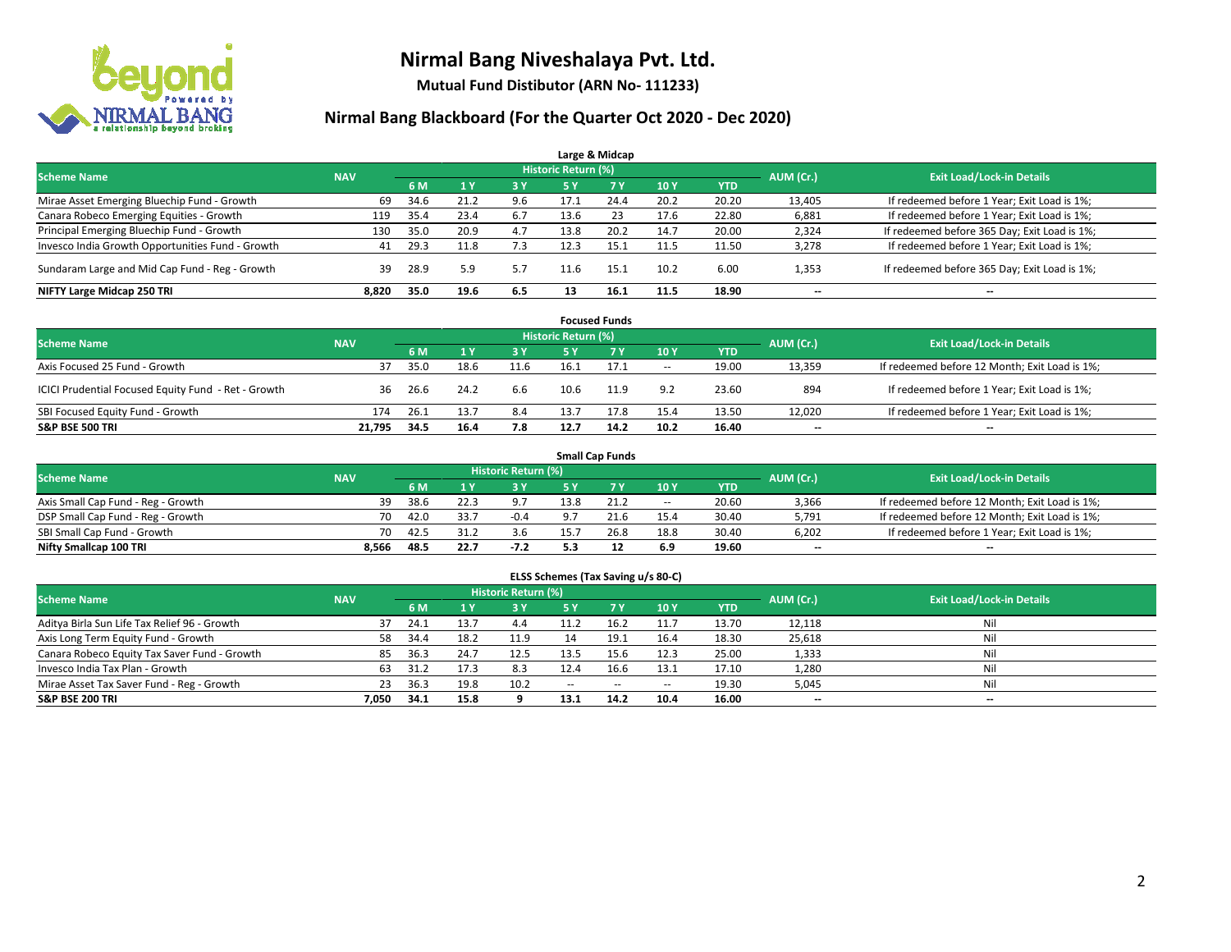

**Mutual Fund Distibutor (ARN No- 111233)**

| Large & Midcap                                   |            |      |                |     |                            |      |      |            |           |                                              |  |  |  |  |
|--------------------------------------------------|------------|------|----------------|-----|----------------------------|------|------|------------|-----------|----------------------------------------------|--|--|--|--|
| <b>Scheme Name</b>                               | <b>NAV</b> |      |                |     | <b>Historic Return (%)</b> |      |      |            | AUM (Cr.) | <b>Exit Load/Lock-in Details</b>             |  |  |  |  |
|                                                  |            | 6 M  | 1 <sub>Y</sub> | 3 Y | 5 Y                        | 7Y   | 10Y  | <b>YTD</b> |           |                                              |  |  |  |  |
| Mirae Asset Emerging Bluechip Fund - Growth      | 69         | 34.6 | 21.2           | 9.6 | 17.1                       | 24.4 | 20.2 | 20.20      | 13,405    | If redeemed before 1 Year; Exit Load is 1%;  |  |  |  |  |
| Canara Robeco Emerging Equities - Growth         | 119        | 35.4 | 23.4           | 6.7 | 13.6                       | 23   | 17.6 | 22.80      | 6,881     | If redeemed before 1 Year; Exit Load is 1%;  |  |  |  |  |
| Principal Emerging Bluechip Fund - Growth        | 130        | 35.0 | 20.9           | 4.7 | 13.8                       | 20.2 | 14.7 | 20.00      | 2,324     | If redeemed before 365 Day; Exit Load is 1%; |  |  |  |  |
| Invesco India Growth Opportunities Fund - Growth | 41         | 29.3 |                | 7.3 | 12.3                       | 15.1 | 11.5 | 11.50      | 3,278     | If redeemed before 1 Year; Exit Load is 1%;  |  |  |  |  |
| Sundaram Large and Mid Cap Fund - Reg - Growth   | 39         | 28.9 | 5.9            | 5.7 | 11.6                       | 15.1 | 10.2 | 6.00       | 1,353     | If redeemed before 365 Day; Exit Load is 1%; |  |  |  |  |
| NIFTY Large Midcap 250 TRI                       | 8,820      | 35.0 | 19.6           | 6.5 |                            | 16.1 | 11.5 | 18.90      | $- -$     | $\overline{\phantom{a}}$                     |  |  |  |  |

|                                                     |            |      |      |           |                     | <b>Focused Funds</b> |        |       |           |                                               |
|-----------------------------------------------------|------------|------|------|-----------|---------------------|----------------------|--------|-------|-----------|-----------------------------------------------|
| <b>Scheme Name</b>                                  | <b>NAV</b> |      |      |           | Historic Return (%) |                      |        |       | AUM (Cr.) | <b>Exit Load/Lock-in Details</b>              |
|                                                     |            | 6 M  |      | <b>3Y</b> | 5 Y                 | <b>7Y</b>            | 10Y    | YTD   |           |                                               |
| Axis Focused 25 Fund - Growth                       |            | 35.0 | 18.6 | 11.6      | 16.1                | 17.1                 | $\sim$ | 19.00 | 13,359    | If redeemed before 12 Month; Exit Load is 1%; |
| ICICI Prudential Focused Equity Fund - Ret - Growth | 36         | 26.6 | 24.2 | 6.6       | 10.6                | 11.9                 | 9.2    | 23.60 | 894       | If redeemed before 1 Year; Exit Load is 1%;   |
| SBI Focused Equity Fund - Growth                    | 174        | 26.1 | 13.7 | 8.4       | 13.7                | 17.8                 | 15.4   | 13.50 | 12,020    | If redeemed before 1 Year; Exit Load is 1%;   |
| <b>S&amp;P BSE 500 TRI</b>                          | 21.795     | 34.5 | 16.4 | 7.8       | 12.7                | 14.2                 | 10.2   | 16.40 | $- -$     | $\overline{\phantom{a}}$                      |

|                                    |            |      |                                  |        |      | <b>Small Cap Funds</b> |       |            |           |                                               |
|------------------------------------|------------|------|----------------------------------|--------|------|------------------------|-------|------------|-----------|-----------------------------------------------|
| <b>Scheme Name</b>                 | <b>NAV</b> |      | <b>Exit Load/Lock-in Details</b> |        |      |                        |       |            |           |                                               |
|                                    |            | 6 M  |                                  | 3 Y.   | cν   |                        | 10Y   | <b>YTD</b> | AUM (Cr.) |                                               |
| Axis Small Cap Fund - Reg - Growth | 39         | 38.6 |                                  |        | 13.8 | 21.2                   | $\!-$ | 20.60      | 3,366     | If redeemed before 12 Month; Exit Load is 1%; |
| DSP Small Cap Fund - Reg - Growth  | 70         | 42.0 | -33.7                            | $-0.4$ |      |                        | 15.4  | 30.40      | 5,791     | If redeemed before 12 Month; Exit Load is 1%; |
| SBI Small Cap Fund - Growth        | 70         | 42.5 | 31.2                             | 3.6    |      | 26.8                   | 18.8  | 30.40      | 6,202     | If redeemed before 1 Year; Exit Load is 1%;   |
| Nifty Smallcap 100 TRI             | 8.566      | 48.5 | 22.7                             | $-7.2$ |      |                        | 6.9   | 19.60      | $- -$     | $\overline{\phantom{a}}$                      |

| ELSS Schemes (Tax Saving u/s 80-C)                                                                              |       |      |                |      |               |             |                          |            |        |                          |  |  |  |  |
|-----------------------------------------------------------------------------------------------------------------|-------|------|----------------|------|---------------|-------------|--------------------------|------------|--------|--------------------------|--|--|--|--|
| <b>Historic Return (%)</b><br><b>Exit Load/Lock-in Details</b><br><b>Scheme Name</b><br>AUM (Cr.)<br><b>NAV</b> |       |      |                |      |               |             |                          |            |        |                          |  |  |  |  |
|                                                                                                                 |       | 6 M  | 1 <sup>1</sup> | 3 Y  | <b>5Y</b>     | <b>77 Y</b> | 10Y                      | <b>YTD</b> |        |                          |  |  |  |  |
| Aditya Birla Sun Life Tax Relief 96 - Growth                                                                    | 37    | 24.1 | 13.7           | 4.4  | 11.2          | 16.2        | 11.7                     | 13.70      | 12,118 | Nil                      |  |  |  |  |
| Axis Long Term Equity Fund - Growth                                                                             | 58    | 34.4 | 18.2           | 11.9 | 14            | 19.1        | 16.4                     | 18.30      | 25,618 | Nil                      |  |  |  |  |
| Canara Robeco Equity Tax Saver Fund - Growth                                                                    | 85    | 36.3 | 24.7           | 12.5 | 13.5          | 15.6        | 12.3                     | 25.00      | 1,333  | Nil                      |  |  |  |  |
| Invesco India Tax Plan - Growth                                                                                 | 63    | 31.2 | 17.3           | 8.3  | 12.4          | 16.6        | 13.1                     | 17.10      | 1,280  | Nil                      |  |  |  |  |
| Mirae Asset Tax Saver Fund - Reg - Growth                                                                       | 23    | 36.3 | 19.8           | 10.2 | $\sim$ $\sim$ | $\sim$      | $\overline{\phantom{a}}$ | 19.30      | 5,045  | Nil                      |  |  |  |  |
| S&P BSE 200 TRI                                                                                                 | 7.050 | 34.1 | 15.8           |      | 13.1          | 14.2        | 10.4                     | 16.00      | $- -$  | $\overline{\phantom{a}}$ |  |  |  |  |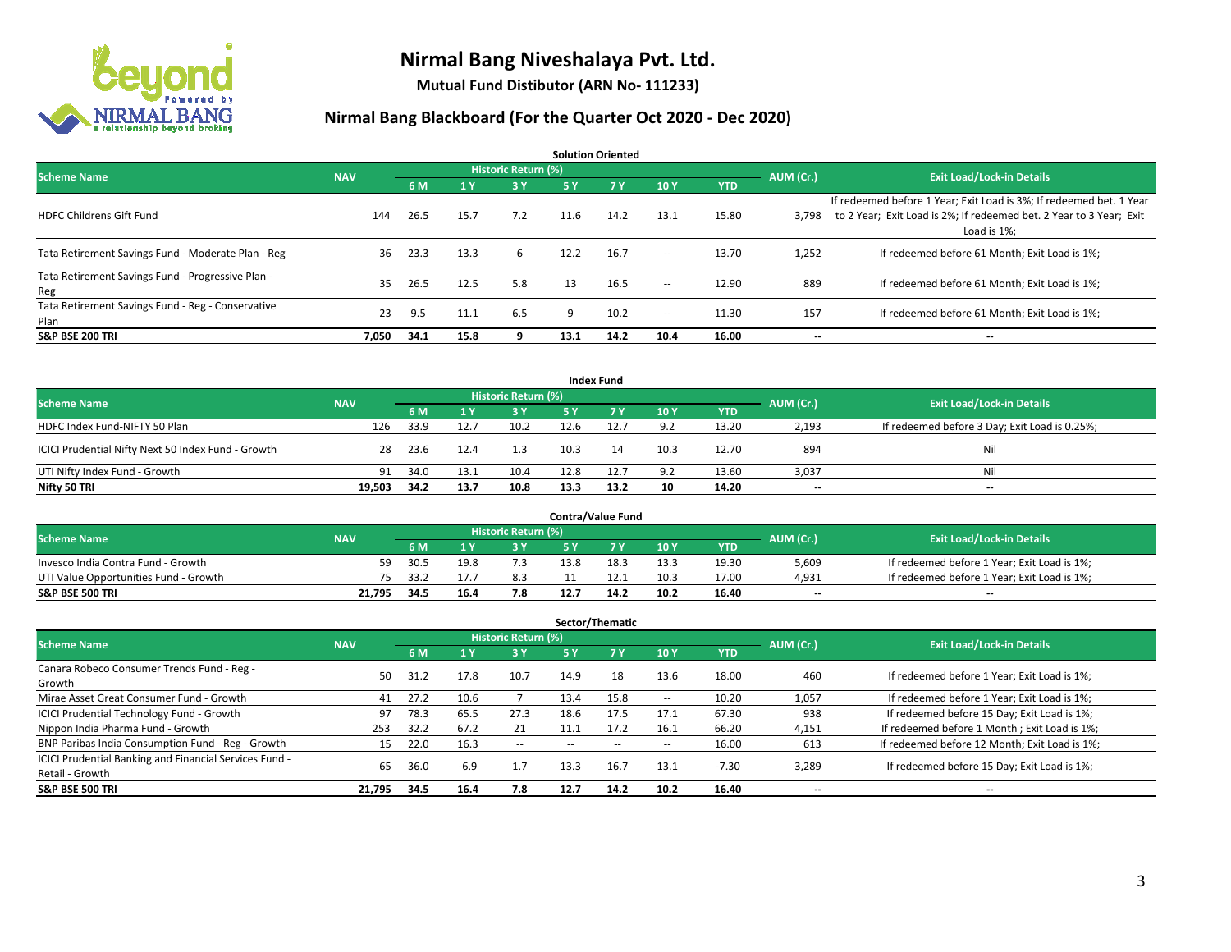

**Mutual Fund Distibutor (ARN No- 111233)**

| <b>Solution Oriented</b>                                  |            |      |      |                            |      |      |        |            |           |                                                                                                                                                           |  |  |  |
|-----------------------------------------------------------|------------|------|------|----------------------------|------|------|--------|------------|-----------|-----------------------------------------------------------------------------------------------------------------------------------------------------------|--|--|--|
| <b>Scheme Name</b>                                        | <b>NAV</b> |      |      | <b>Historic Return (%)</b> |      |      |        |            | AUM (Cr.) | <b>Exit Load/Lock-in Details</b>                                                                                                                          |  |  |  |
|                                                           |            | 6 M  | 1 Y  | 3 Y                        | 5 Y  | 7 Y  | 10Y    | <b>YTD</b> |           |                                                                                                                                                           |  |  |  |
| <b>HDFC Childrens Gift Fund</b>                           | 144        | 26.5 | 15.7 | 7.2                        | 11.6 | 14.2 | 13.1   | 15.80      | 3,798     | If redeemed before 1 Year; Exit Load is 3%; If redeemed bet. 1 Year<br>to 2 Year; Exit Load is 2%; If redeemed bet. 2 Year to 3 Year; Exit<br>Load is 1%: |  |  |  |
| Tata Retirement Savings Fund - Moderate Plan - Reg        | 36         | 23.3 | 13.3 | 6                          | 12.2 | 16.7 | $\sim$ | 13.70      | 1,252     | If redeemed before 61 Month; Exit Load is 1%;                                                                                                             |  |  |  |
| Tata Retirement Savings Fund - Progressive Plan -<br>Reg  | 35         | 26.5 | 12.5 | 5.8                        | 13   | 16.5 | $\sim$ | 12.90      | 889       | If redeemed before 61 Month; Exit Load is 1%;                                                                                                             |  |  |  |
| Tata Retirement Savings Fund - Reg - Conservative<br>Plan | 23         | 9.5  | 11.1 | 6.5                        | q    | 10.2 | $\!-$  | 11.30      | 157       | If redeemed before 61 Month; Exit Load is 1%;                                                                                                             |  |  |  |
| <b>S&amp;P BSE 200 TRI</b>                                | 7,050      | 34.1 | 15.8 |                            | 13.1 | 14.2 | 10.4   | 16.00      | --        | --                                                                                                                                                        |  |  |  |

| <b>Index Fund</b>                                  |            |                                  |      |      |      |           |      |            |       |                                               |  |  |  |  |
|----------------------------------------------------|------------|----------------------------------|------|------|------|-----------|------|------------|-------|-----------------------------------------------|--|--|--|--|
| <b>Scheme Name</b>                                 | AUM (Cr.)  | <b>Exit Load/Lock-in Details</b> |      |      |      |           |      |            |       |                                               |  |  |  |  |
|                                                    | <b>NAV</b> | 6 M                              |      | 3 Y  | 5 Y  | <b>7Y</b> | 10Y  | <b>YTD</b> |       |                                               |  |  |  |  |
| HDFC Index Fund-NIFTY 50 Plan                      | 126        | 33.9                             | 12.7 | 10.2 | 12.6 | 12.7      | 9.2  | 13.20      | 2,193 | If redeemed before 3 Day; Exit Load is 0.25%; |  |  |  |  |
| ICICI Prudential Nifty Next 50 Index Fund - Growth | 28         | 23.6                             | 12.4 | 1.3  | 10.3 | 14        | 10.3 | 12.70      | 894   | Nil                                           |  |  |  |  |
| UTI Nifty Index Fund - Growth                      | 91         | 34.0                             | 13.1 | 10.4 | 12.8 | 12.7      | 9.2  | 13.60      | 3,037 | Nil                                           |  |  |  |  |
| Nifty 50 TRI                                       | 19,503     | 34.2                             | 13.7 | 10.8 | 13.3 | 13.2      | 10   | 14.20      | $- -$ | $-$                                           |  |  |  |  |

|                                       |            |       |      |                            |      | <b>Contra/Value Fund</b> |      |       |           |                                             |
|---------------------------------------|------------|-------|------|----------------------------|------|--------------------------|------|-------|-----------|---------------------------------------------|
| <b>Scheme Name</b>                    | <b>NAV</b> |       |      | <b>Historic Return (%)</b> |      |                          |      |       | AUM (Cr.) | <b>Exit Load/Lock-in Details</b>            |
|                                       |            | 6 M   |      | 3 Y                        |      | 7 V                      | 10Y  | YTD   |           |                                             |
| Invesco India Contra Fund - Growth    | 59         | -30.5 | 19.8 |                            | 13.8 | 18.3                     | 13.3 | 19.30 | 5,609     | If redeemed before 1 Year; Exit Load is 1%; |
| UTI Value Opportunities Fund - Growth | 75.        | -33.2 |      | 8.3                        |      |                          | 10.3 | 17.00 | 4,931     | If redeemed before 1 Year; Exit Load is 1%; |
| <b>S&amp;P BSE 500 TRI</b>            | 21.795     | 34.5  | 16.4 | 7.8                        |      | 14.2                     | 10.2 | 16.40 | $- -$     | $-$                                         |

| Sector/Thematic                                                           |            |      |        |                     |      |        |      |            |           |                                               |  |  |  |
|---------------------------------------------------------------------------|------------|------|--------|---------------------|------|--------|------|------------|-----------|-----------------------------------------------|--|--|--|
| <b>Scheme Name</b>                                                        | <b>NAV</b> |      |        | Historic Return (%) |      |        |      |            | AUM (Cr.) | <b>Exit Load/Lock-in Details</b>              |  |  |  |
|                                                                           |            | 6 M  | $A$ Y  | <b>3Y</b>           | 5 Y  | 7Y     | 10Y  | <b>YTD</b> |           |                                               |  |  |  |
| Canara Robeco Consumer Trends Fund - Reg -<br>Growth                      | 50         | 31.2 | 17.8   | 10.7                | 14.9 | 18     | 13.6 | 18.00      | 460       | If redeemed before 1 Year; Exit Load is 1%;   |  |  |  |
| Mirae Asset Great Consumer Fund - Growth                                  | 41         | 27.2 | 10.6   |                     | 13.4 | 15.8   | --   | 10.20      | 1,057     | If redeemed before 1 Year; Exit Load is 1%;   |  |  |  |
| ICICI Prudential Technology Fund - Growth                                 | 97         | 78.3 | 65.5   | 27.3                | 18.6 | 17.5   | 17.1 | 67.30      | 938       | If redeemed before 15 Day; Exit Load is 1%;   |  |  |  |
| Nippon India Pharma Fund - Growth                                         | 253        | 32.2 | 67.2   | 21                  | 11.1 | 17.2   | 16.1 | 66.20      | 4,151     | If redeemed before 1 Month; Exit Load is 1%;  |  |  |  |
| BNP Paribas India Consumption Fund - Reg - Growth                         | 15         | 22.0 | 16.3   | $\sim$              | --   | $\sim$ | --   | 16.00      | 613       | If redeemed before 12 Month; Exit Load is 1%; |  |  |  |
| ICICI Prudential Banking and Financial Services Fund -<br>Retail - Growth | 65         | 36.0 | $-6.9$ | 1.7                 | 13.3 | 16.7   | 13.1 | $-7.30$    | 3,289     | If redeemed before 15 Day; Exit Load is 1%;   |  |  |  |
| <b>S&amp;P BSE 500 TRI</b>                                                | 21.795     | 34.5 | 16.4   | 7.8                 | 12.7 | 14.2   | 10.2 | 16.40      | --        | --                                            |  |  |  |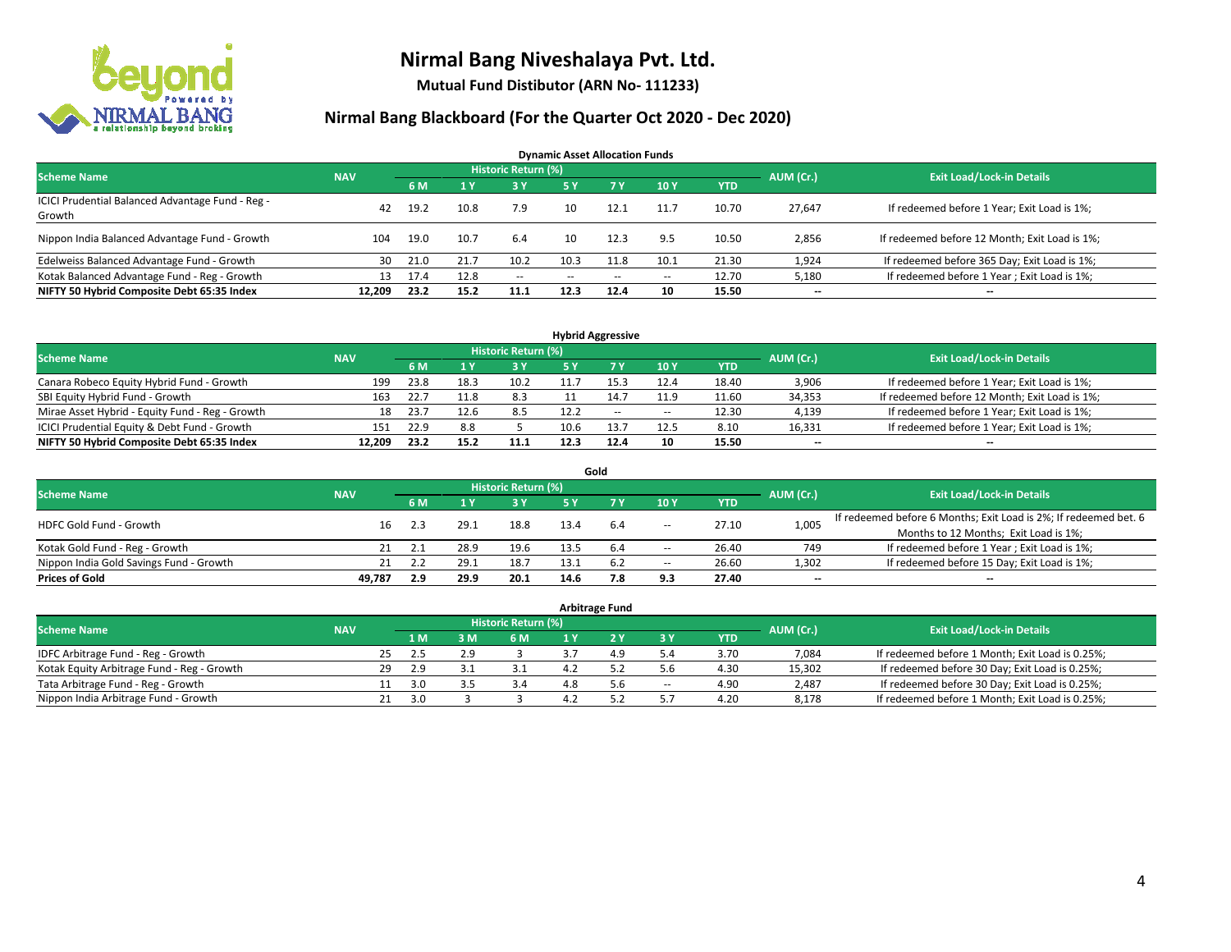

**Mutual Fund Distibutor (ARN No- 111233)**

| <b>Dynamic Asset Allocation Funds</b>                      |            |      |      |                            |            |           |       |            |                          |                                               |  |  |  |
|------------------------------------------------------------|------------|------|------|----------------------------|------------|-----------|-------|------------|--------------------------|-----------------------------------------------|--|--|--|
| <b>Scheme Name</b>                                         | <b>NAV</b> |      |      | <b>Historic Return (%)</b> |            |           |       |            | AUM (Cr.)                | <b>Exit Load/Lock-in Details</b>              |  |  |  |
|                                                            |            | 6 M  |      | 73 Y                       | <b>5 Y</b> | <b>7Y</b> | 10Y   | <b>YTD</b> |                          |                                               |  |  |  |
| ICICI Prudential Balanced Advantage Fund - Reg -<br>Growth | 42         | 19.2 | 10.8 | 7.9                        | 10         | 12.1      | 11.7  | 10.70      | 27,647                   | If redeemed before 1 Year; Exit Load is 1%;   |  |  |  |
| Nippon India Balanced Advantage Fund - Growth              | 104        | 19.0 | 10.7 | 6.4                        | 10         | 12.3      | 9.5   | 10.50      | 2,856                    | If redeemed before 12 Month; Exit Load is 1%; |  |  |  |
| Edelweiss Balanced Advantage Fund - Growth                 | 30         | 21.0 | 21.7 | 10.2                       | 10.3       | 11.8      | 10.1  | 21.30      | 1,924                    | If redeemed before 365 Day; Exit Load is 1%;  |  |  |  |
| Kotak Balanced Advantage Fund - Reg - Growth               | 13         | 17.4 | 12.8 | $\sim$                     | --         | $\sim$    | $\!-$ | 12.70      | 5,180                    | If redeemed before 1 Year; Exit Load is 1%;   |  |  |  |
| NIFTY 50 Hybrid Composite Debt 65:35 Index                 | 12.209     | 23.2 | 15.2 | 11.1                       | 12.3       | 12.4      | 10    | 15.50      | $\overline{\phantom{a}}$ | $- -$                                         |  |  |  |

|                                                 |            |      |      |                            |      | <b>Hybrid Aggressive</b> |        |            |           |                                               |
|-------------------------------------------------|------------|------|------|----------------------------|------|--------------------------|--------|------------|-----------|-----------------------------------------------|
| <b>Scheme Name</b>                              | <b>NAV</b> |      |      | <b>Historic Return (%)</b> |      |                          |        |            | AUM (Cr.) | <b>Exit Load/Lock-in Details</b>              |
|                                                 |            | 6 M  |      | 3 Y                        |      |                          | 10Y    | <b>YTD</b> |           |                                               |
| Canara Robeco Equity Hybrid Fund - Growth       | 199        | 23.8 | 18.3 | 10.2                       | 11.  | 15.3                     | 12.4   | 18.40      | 3,906     | If redeemed before 1 Year; Exit Load is 1%;   |
| SBI Equity Hybrid Fund - Growth                 | 163        | 22.7 |      | 8.3                        |      | 14.7                     | 11.9   | 11.60      | 34,353    | If redeemed before 12 Month; Exit Load is 1%; |
| Mirae Asset Hybrid - Equity Fund - Reg - Growth | 18         | 23.7 |      | 8.5                        | 12.2 | $-$                      | $\sim$ | 12.30      | 4,139     | If redeemed before 1 Year; Exit Load is 1%;   |
| ICICI Prudential Equity & Debt Fund - Growth    | 151        | 22.9 | 8.8  |                            | 10.6 |                          | 12.5   | 8.10       | 16,331    | If redeemed before 1 Year; Exit Load is 1%;   |
| NIFTY 50 Hybrid Composite Debt 65:35 Index      | 12.209     | 23.2 | 15.2 | 11.1                       | 12.3 | 12.4                     | 10     | 15.50      | $-$       | $-$                                           |

|                                         |            |     |      |                     |      | Gold |       |       |                          |                                                                  |
|-----------------------------------------|------------|-----|------|---------------------|------|------|-------|-------|--------------------------|------------------------------------------------------------------|
| <b>Scheme Name</b>                      | <b>NAV</b> |     |      | Historic Return (%) |      |      |       |       | AUM (Cr.)                | <b>Exit Load/Lock-in Details</b>                                 |
|                                         |            | 6 M |      | 3 Y                 | 5 Y  |      | 10Y   | YTD   |                          |                                                                  |
| <b>HDFC Gold Fund - Growth</b>          | 16         |     | 29.1 | 18.8                | 13.4 | 6.4  | $\!-$ | 27.10 | 1,005                    | If redeemed before 6 Months; Exit Load is 2%; If redeemed bet. 6 |
|                                         |            |     |      |                     |      |      |       |       |                          | Months to 12 Months; Exit Load is 1%;                            |
| Kotak Gold Fund - Reg - Growth          |            |     | 28.9 | 19.6                | 13.5 | 6.4  | $\!-$ | 26.40 | 749                      | If redeemed before 1 Year; Exit Load is 1%;                      |
| Nippon India Gold Savings Fund - Growth |            |     | 29.1 | 18.7                |      |      | $\!-$ | 26.60 | 1,302                    | If redeemed before 15 Day; Exit Load is 1%;                      |
| <b>Prices of Gold</b>                   | 49.787     | 2.9 | 29.9 | 20.1                | 14.6 | 7.8  | 9.3   | 27.40 | $\overline{\phantom{a}}$ | --                                                               |

| <b>Arbitrage Fund</b>                      |            |    |     |     |                            |  |     |        |            |           |                                                 |  |  |
|--------------------------------------------|------------|----|-----|-----|----------------------------|--|-----|--------|------------|-----------|-------------------------------------------------|--|--|
| <b>Scheme Name</b>                         | <b>NAV</b> |    |     |     | <b>Historic Return (%)</b> |  |     |        |            | AUM (Cr.) | <b>Exit Load/Lock-in Details</b>                |  |  |
|                                            |            |    | 4 M | 3 M | 6 M                        |  |     | ЗY     | <b>YTD</b> |           |                                                 |  |  |
| IDFC Arbitrage Fund - Reg - Growth         |            | 25 | 2.5 |     |                            |  | 4.9 | 5.4    | 3.70       | 7,084     | If redeemed before 1 Month; Exit Load is 0.25%; |  |  |
| Kotak Equity Arbitrage Fund - Reg - Growth |            | 29 | 2.9 |     | 3.1                        |  |     | 5.6    | 4.30       | 15,302    | If redeemed before 30 Day; Exit Load is 0.25%;  |  |  |
| Tata Arbitrage Fund - Reg - Growth         |            |    | 3.0 |     | 3.4                        |  | 5.6 | $\sim$ | 4.90       | 2.487     | If redeemed before 30 Day; Exit Load is 0.25%;  |  |  |
| Nippon India Arbitrage Fund - Growth       |            |    | 3.0 |     |                            |  |     |        | 4.20       | 8,178     | If redeemed before 1 Month; Exit Load is 0.25%; |  |  |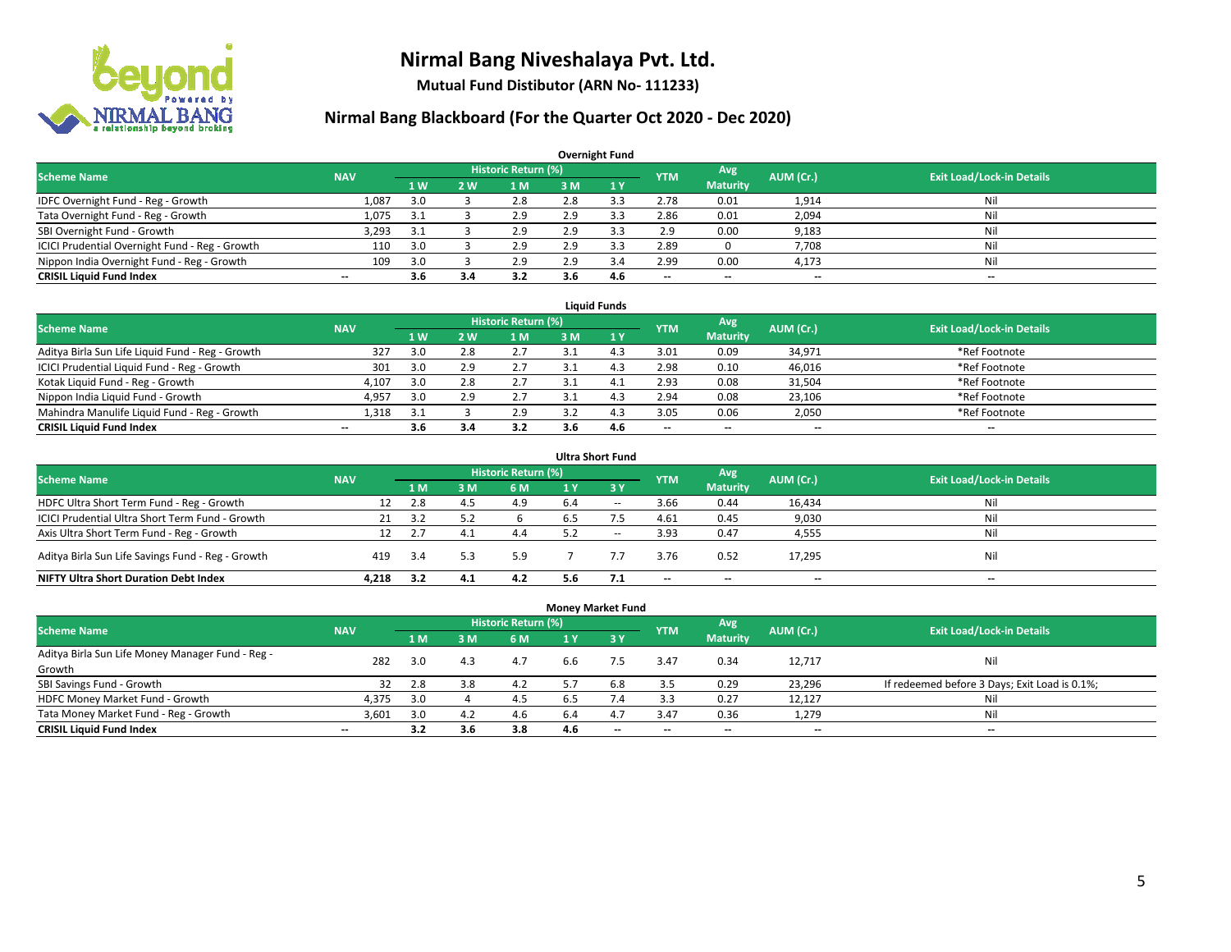

**Mutual Fund Distibutor (ARN No- 111233)**

|                                                |                          |     |                |                     |     | <b>Overnight Fund</b> |                          |                 |           |                                  |
|------------------------------------------------|--------------------------|-----|----------------|---------------------|-----|-----------------------|--------------------------|-----------------|-----------|----------------------------------|
| <b>Scheme Name</b>                             | <b>NAV</b>               |     |                | Historic Return (%) |     |                       | <b>YTM</b>               | Avg             | AUM (Cr.) | <b>Exit Load/Lock-in Details</b> |
|                                                |                          | 1W  | 2 <sub>W</sub> | 1 M                 | 3 M | 1Y                    |                          | <b>Maturity</b> |           |                                  |
| IDFC Overnight Fund - Reg - Growth             | 1,087                    | 3.0 |                | 2.8                 | 2.8 |                       | 2.78                     | 0.01            | 1,914     | Nil                              |
| Tata Overnight Fund - Reg - Growth             | 1,075                    | 3.1 |                | 2.9                 | 2.9 | 3.3                   | 2.86                     | 0.01            | 2,094     | Nil                              |
| SBI Overnight Fund - Growth                    | 3,293                    | 3.1 |                | 2.9                 | 2.9 | 3.3                   | 2.9                      | 0.00            | 9,183     | Nil                              |
| ICICI Prudential Overnight Fund - Reg - Growth | 110                      | 3.0 |                | 2.9                 | 2.9 | 3.3                   | 2.89                     |                 | 7,708     | Nil                              |
| Nippon India Overnight Fund - Reg - Growth     | 109                      | 3.0 |                | 2.9                 | 2.9 | 3.4                   | 2.99                     | 0.00            | 4,173     | Nil                              |
| <b>CRISIL Liquid Fund Index</b>                | $\overline{\phantom{a}}$ | 3.6 | 3.4            | 3.2                 | 3.6 | 4.6                   | $\overline{\phantom{a}}$ | --              | --        | $\overline{\phantom{a}}$         |

| <b>Liauid Funds</b>                              |            |     |            |                     |     |     |                          |                          |           |                                  |  |  |  |
|--------------------------------------------------|------------|-----|------------|---------------------|-----|-----|--------------------------|--------------------------|-----------|----------------------------------|--|--|--|
| <b>Scheme Name</b>                               | <b>NAV</b> |     |            | Historic Return (%) |     |     | <b>YTM</b>               | Avg                      | AUM (Cr.) | <b>Exit Load/Lock-in Details</b> |  |  |  |
|                                                  |            | 1 W | <b>2 W</b> | 1 M                 | зM  |     |                          | <b>Maturity</b>          |           |                                  |  |  |  |
| Aditya Birla Sun Life Liquid Fund - Reg - Growth | 327        | 3.0 | ס ר        | 2.7                 |     |     | 3.01                     | 0.09                     | 34,971    | *Ref Footnote                    |  |  |  |
| ICICI Prudential Liquid Fund - Reg - Growth      | 301        | 3.0 | 2.9        | 2.7                 |     |     | 2.98                     | 0.10                     | 46,016    | *Ref Footnote                    |  |  |  |
| Kotak Liquid Fund - Reg - Growth                 | 4,107      | 3.0 | 2.8        | 2.7                 |     |     | 2.93                     | 0.08                     | 31,504    | *Ref Footnote                    |  |  |  |
| Nippon India Liquid Fund - Growth                | 4,957      | 3.0 | 2.9        | 2.7                 |     |     | 2.94                     | 0.08                     | 23,106    | *Ref Footnote                    |  |  |  |
| Mahindra Manulife Liquid Fund - Reg - Growth     | 1.318      | 3.1 |            | 2.9                 |     |     | 3.05                     | 0.06                     | 2,050     | *Ref Footnote                    |  |  |  |
| <b>CRISIL Liquid Fund Index</b>                  | $- -$      | 3.6 | 3.4        | 3.2                 | 3.6 | 4.6 | $\overline{\phantom{a}}$ | $\overline{\phantom{a}}$ | $- -$     | $- -$                            |  |  |  |

|                                                   |            |      |     |                            |     | <b>Ultra Short Fund</b> |            |                          |                          |                                  |
|---------------------------------------------------|------------|------|-----|----------------------------|-----|-------------------------|------------|--------------------------|--------------------------|----------------------------------|
| <b>Scheme Name</b>                                | <b>NAV</b> |      |     | <b>Historic Return (%)</b> |     |                         | <b>YTM</b> | Avg                      | AUM (Cr.)                | <b>Exit Load/Lock-in Details</b> |
|                                                   |            | 1 M  | з м | 6 M                        | 1 Y | $\sqrt{3}$ V            |            | <b>Maturity</b>          |                          |                                  |
| HDFC Ultra Short Term Fund - Reg - Growth         | 12         | 2.8  | 4.5 | 4.9                        |     | $- -$                   | 3.66       | 0.44                     | 16,434                   | Nil                              |
| ICICI Prudential Ultra Short Term Fund - Growth   | 21         |      |     |                            | 6.5 |                         | 4.61       | 0.45                     | 9,030                    | Nil                              |
| Axis Ultra Short Term Fund - Reg - Growth         | 12         | 2.7  | 4.1 | 4.4                        |     | $- -$                   | 3.93       | 0.47                     | 4,555                    | Nil                              |
| Aditya Birla Sun Life Savings Fund - Reg - Growth | 419        | -3.4 |     | 5.9                        |     |                         | 3.76       | 0.52                     | 17,295                   | Nil                              |
| <b>NIFTY Ultra Short Duration Debt Index</b>      | 4.218      | 3.2  | 4.1 | 4.2                        | 5.6 |                         | --         | $\overline{\phantom{a}}$ | $\overline{\phantom{a}}$ | $-$                              |

| <b>Money Market Fund</b>                         |                          |     |     |                            |                |           |            |                 |           |                                               |  |  |  |  |
|--------------------------------------------------|--------------------------|-----|-----|----------------------------|----------------|-----------|------------|-----------------|-----------|-----------------------------------------------|--|--|--|--|
| <b>Scheme Name</b>                               | <b>NAV</b>               |     |     | <b>Historic Return (%)</b> |                |           | <b>YTM</b> | Avg             | AUM (Cr.) | <b>Exit Load/Lock-in Details</b>              |  |  |  |  |
|                                                  |                          | 1 M | 3M  | <b>6M</b>                  | 1 <sub>Y</sub> | $Z$ 3 $V$ |            | <b>Maturity</b> |           |                                               |  |  |  |  |
| Aditya Birla Sun Life Money Manager Fund - Reg - | 282                      | 3.0 | 4.3 | 4.7                        | 6.6            | 7.5       | 3.47       | 0.34            | 12,717    | Nil                                           |  |  |  |  |
| Growth                                           |                          |     |     |                            |                |           |            |                 |           |                                               |  |  |  |  |
| SBI Savings Fund - Growth                        | 32                       | 2.8 | 3.8 | 4.2                        |                | 6.8       | 3.5        | 0.29            | 23,296    | If redeemed before 3 Days; Exit Load is 0.1%; |  |  |  |  |
| HDFC Money Market Fund - Growth                  | 4,375                    | 3.0 |     | 4.5                        | 6.5            | 7.4       | 3.3        | 0.27            | 12,127    | Nil                                           |  |  |  |  |
| Tata Money Market Fund - Reg - Growth            | 3,601                    | 3.0 | 4.2 | 4.6                        | 6.4            | 4.7       | 3.47       | 0.36            | 1,279     | Nil                                           |  |  |  |  |
| <b>CRISIL Liquid Fund Index</b>                  | $\overline{\phantom{a}}$ | 3.2 | 3.6 | 3.8                        | 4.6            | $- -$     | --         | $- -$           | $- -$     | $-$                                           |  |  |  |  |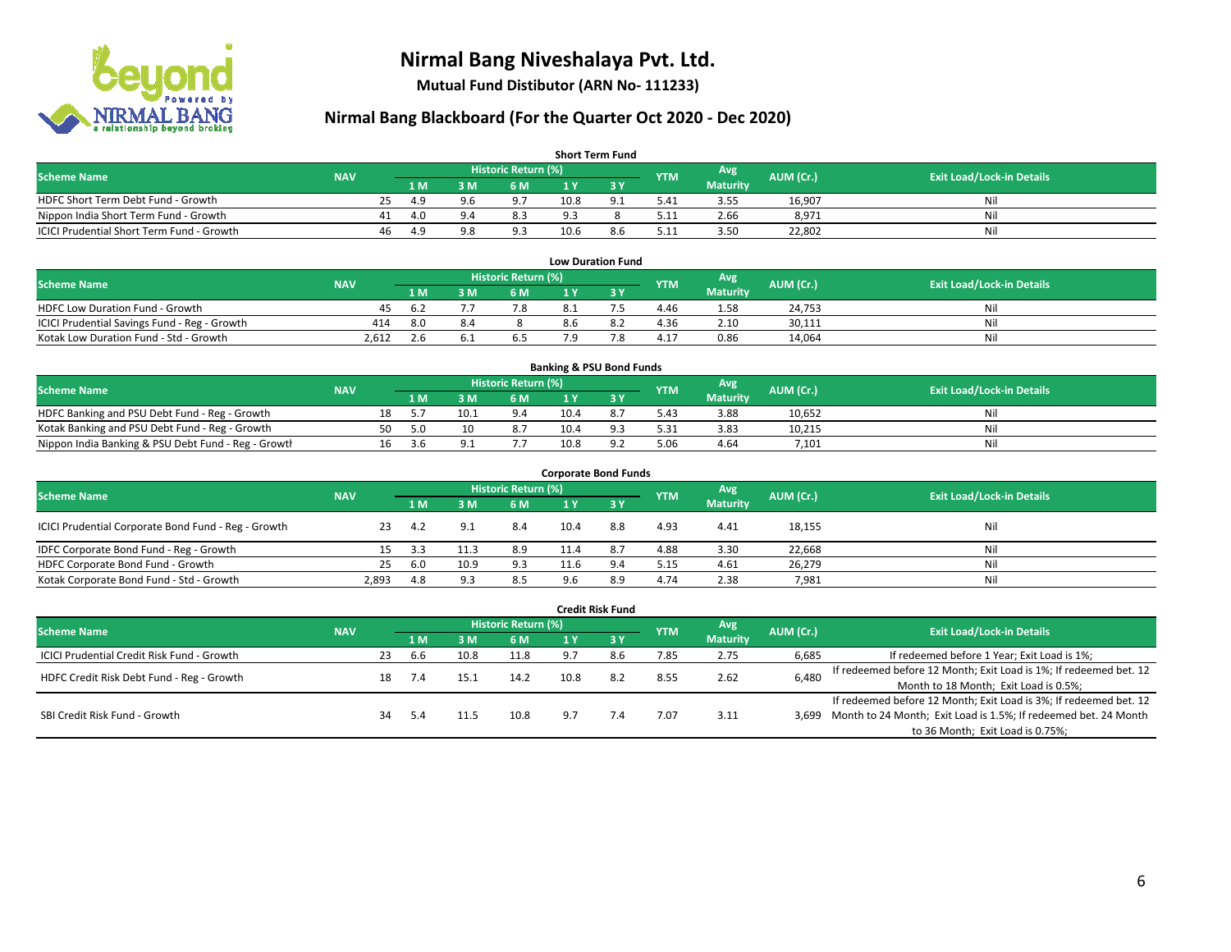

**Mutual Fund Distibutor (ARN No- 111233)**

## **Nirmal Bang Blackboard (For the Quarter Oct 2020 - Dec 2020)**

| <b>Short Term Fund</b>                           |            |     |                |                |                            |      |     |            |                  |           |                                  |  |  |
|--------------------------------------------------|------------|-----|----------------|----------------|----------------------------|------|-----|------------|------------------|-----------|----------------------------------|--|--|
| <b>Scheme Name</b>                               | <b>NAV</b> |     |                |                | <b>Historic Return (%)</b> |      |     | <b>YTM</b> | Avg <sup>1</sup> | AUM (Cr.) | <b>Exit Load/Lock-in Details</b> |  |  |
|                                                  |            |     | 1 <sub>M</sub> | 3 M            | 6 M                        |      |     |            | <b>Maturity</b>  |           |                                  |  |  |
| HDFC Short Term Debt Fund - Growth               |            | 25  | 4.9            | 9.6            | 9.7                        | 10.8 | 9.1 | 5.41       | 3.55             | 16,907    | Ni                               |  |  |
| Nippon India Short Term Fund - Growth            |            |     | 4.0            | 9 <sub>4</sub> | 8.3                        | 9.3  |     | 5.11       | 2.66             | 8,971     | Ni                               |  |  |
| <b>ICICI Prudential Short Term Fund - Growth</b> |            | -46 | 4.9            | 9.8            | 9.3                        | 10.6 | 8.6 | 5.11       | 3.50             | 22,802    | Nil                              |  |  |

| <b>Low Duration Fund</b>                     |            |      |    |                      |     |    |            |                 |           |                                  |  |  |  |
|----------------------------------------------|------------|------|----|----------------------|-----|----|------------|-----------------|-----------|----------------------------------|--|--|--|
| <b>Scheme Name</b>                           | <b>NAV</b> |      |    | Historic Return (%)' |     |    | <b>YTM</b> | Avg             | AUM (Cr.) | <b>Exit Load/Lock-in Details</b> |  |  |  |
|                                              |            | 1 M  | ١M | 6 M                  |     |    |            | <b>Maturity</b> |           |                                  |  |  |  |
| <b>HDFC Low Duration Fund - Growth</b>       | 45         | -6.2 |    | א.                   | 8.1 |    | 4.46       | 1.58            | 24,753    | Nil                              |  |  |  |
| ICICI Prudential Savings Fund - Reg - Growth | 414        | 8.0  |    |                      | 8.6 |    | 4.36       | 2.10            | 30,111    | Nil                              |  |  |  |
| Kotak Low Duration Fund - Std - Growth       | 2.612      |      |    | b.5                  | 7 Q | 70 | 4.17       | 0.86            | 14.064    | Nil                              |  |  |  |

| <b>Banking &amp; PSU Bond Funds</b>                 |            |    |      |      |                     |      |  |            |                 |           |                                  |  |  |
|-----------------------------------------------------|------------|----|------|------|---------------------|------|--|------------|-----------------|-----------|----------------------------------|--|--|
| <b>Scheme Name</b>                                  | <b>NAV</b> |    |      |      | Historic Return (%) |      |  | <b>YTM</b> | Avg             | AUM (Cr.) | <b>Exit Load/Lock-in Details</b> |  |  |
|                                                     |            |    | 1 M  | . M  | 6 M                 |      |  |            | <b>Maturity</b> |           |                                  |  |  |
| HDFC Banking and PSU Debt Fund - Reg - Growth       |            | 18 |      | 10.1 | 9.4                 | 10.4 |  | 5.43       | 3.88            | 10,652    | Nil                              |  |  |
| Kotak Banking and PSU Debt Fund - Reg - Growth      |            | 50 | -5.0 | 10   | 8.7                 | 10.4 |  | 5.31       | 3.83            | 10,215    | Nil                              |  |  |
| Nippon India Banking & PSU Debt Fund - Reg - Growth |            | 16 |      |      |                     | 10.8 |  | 5.06       | 4.64            | 7,101     | Nil                              |  |  |

| <b>Corporate Bond Funds</b>                         |            |     |      |                            |      |        |            |                 |           |                                  |  |  |  |  |
|-----------------------------------------------------|------------|-----|------|----------------------------|------|--------|------------|-----------------|-----------|----------------------------------|--|--|--|--|
| <b>Scheme Name</b>                                  | <b>NAV</b> |     |      | <b>Historic Return (%)</b> |      |        | <b>YTM</b> | Avg             | AUM (Cr.) | <b>Exit Load/Lock-in Details</b> |  |  |  |  |
|                                                     |            | 1 M | 3 M  | 6 M                        | 1 Y  | $Z_3V$ |            | <b>Maturity</b> |           |                                  |  |  |  |  |
| ICICI Prudential Corporate Bond Fund - Reg - Growth | 23         | 4.2 | Q    | 8.4                        | 10.4 | 8.8    | 4.93       | 4.41            | 18,155    | Nil                              |  |  |  |  |
| IDFC Corporate Bond Fund - Reg - Growth             |            | 3.3 |      | 8.9                        | 11.4 | 8.7    | 4.88       | 3.30            | 22,668    | Nil                              |  |  |  |  |
| HDFC Corporate Bond Fund - Growth                   | 25         | 6.0 | 10.9 | 9.3                        | 11.6 | 9.4    | 5.15       | 4.61            | 26,279    | Nil                              |  |  |  |  |
| Kotak Corporate Bond Fund - Std - Growth            | 2,893      | 4.8 | Q 3  | 8.5                        | 9.6  | 8.9    | 4.74       | 2.38            | 7,981     | Nil                              |  |  |  |  |

|                                            |            |    |      |      |                     |      | <b>Credit Risk Fund</b> |            |                        |           |                                                                       |
|--------------------------------------------|------------|----|------|------|---------------------|------|-------------------------|------------|------------------------|-----------|-----------------------------------------------------------------------|
| <b>Scheme Name</b>                         | <b>NAV</b> |    |      |      | Historic Return (%) |      |                         | <b>YTM</b> | Avg<br><b>Maturity</b> | AUM (Cr.) | <b>Exit Load/Lock-in Details</b>                                      |
|                                            |            |    |      | 3 M  | 6 M                 |      | <b>73Y</b>              |            |                        |           |                                                                       |
| ICICI Prudential Credit Risk Fund - Growth |            | 23 | .6.b | 10.8 | 11.8                | 9.7  | 8.6                     | 7.85       | 2.75                   | 6,685     | If redeemed before 1 Year; Exit Load is 1%;                           |
| HDFC Credit Risk Debt Fund - Reg - Growth  |            | 18 |      |      | 14.2                | 10.8 | 8.2                     | 8.55       | 2.62                   | 6,480     | If redeemed before 12 Month; Exit Load is 1%; If redeemed bet. 12     |
|                                            |            |    |      |      |                     |      |                         |            |                        |           | Month to 18 Month; Exit Load is 0.5%;                                 |
| SBI Credit Risk Fund - Growth              |            |    |      |      |                     |      |                         |            |                        |           | If redeemed before 12 Month; Exit Load is 3%; If redeemed bet. 12     |
|                                            |            | 34 |      | 11.5 | 10.8                | 9.7  |                         | 7.07       | 3.11                   |           | 3,699 Month to 24 Month; Exit Load is 1.5%; If redeemed bet. 24 Month |
|                                            |            |    |      |      |                     |      |                         |            |                        |           | to 36 Month; Exit Load is 0.75%;                                      |

#### 6